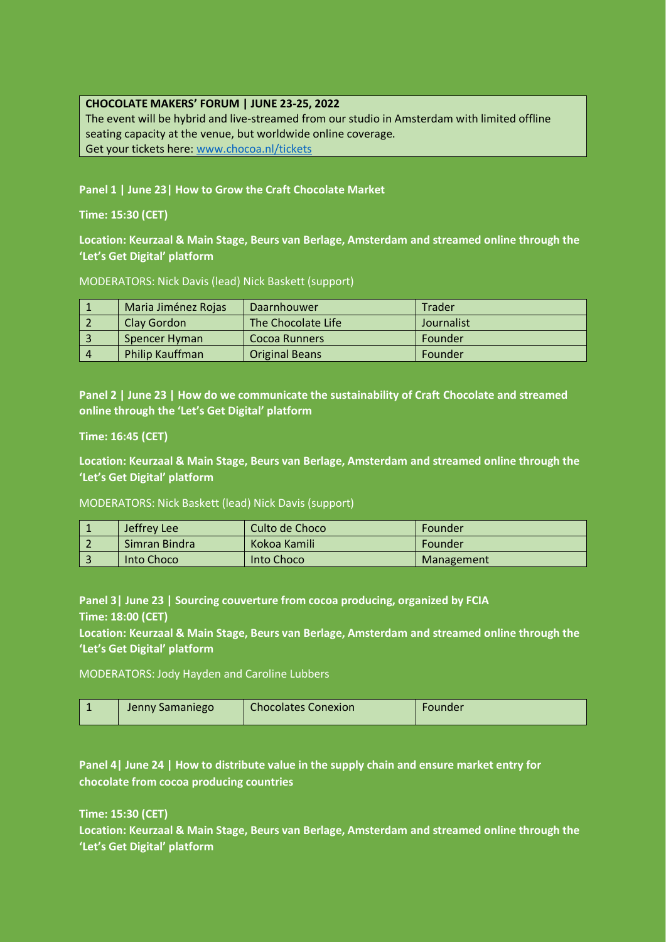#### **CHOCOLATE MAKERS' FORUM | JUNE 23-25, 2022**

The event will be hybrid and live-streamed from our studio in Amsterdam with limited offline seating capacity at the venue, but worldwide online coverage. Get your tickets here: [www.chocoa.nl/tickets](http://www.chocoa.nl/tickets)

**Panel 1 | June 23| How to Grow the Craft Chocolate Market**

**Time: 15:30 (CET)**

**Location: Keurzaal & Main Stage, Beurs van Berlage, Amsterdam and streamed online through the 'Let's Get Digital' platform**

MODERATORS: Nick Davis (lead) Nick Baskett (support)

|    | Maria Jiménez Rojas | Daarnhouwer           | Trader     |
|----|---------------------|-----------------------|------------|
|    | Clay Gordon         | The Chocolate Life    | Journalist |
|    | Spencer Hyman       | Cocoa Runners         | Founder    |
| -4 | Philip Kauffman     | <b>Original Beans</b> | Founder    |

**Panel 2 | June 23 | How do we communicate the sustainability of Craft Chocolate and streamed online through the 'Let's Get Digital' platform**

**Time: 16:45 (CET)**

**Location: Keurzaal & Main Stage, Beurs van Berlage, Amsterdam and streamed online through the 'Let's Get Digital' platform**

MODERATORS: Nick Baskett (lead) Nick Davis (support)

| - | Jeffrey Lee   | Culto de Choco | Founder    |
|---|---------------|----------------|------------|
|   | Simran Bindra | Kokoa Kamili   | Founder    |
|   | Into Choco    | Into Choco     | Management |

**Panel 3| June 23 | Sourcing couverture from cocoa producing, organized by FCIA Time: 18:00 (CET)**

**Location: Keurzaal & Main Stage, Beurs van Berlage, Amsterdam and streamed online through the 'Let's Get Digital' platform**

MODERATORS: Jody Hayden and Caroline Lubbers

| Jenny Samaniego<br>Founder<br>- |  |  | <b>Chocolates Conexion</b> |  |
|---------------------------------|--|--|----------------------------|--|
|---------------------------------|--|--|----------------------------|--|

**Panel 4| June 24 | How to distribute value in the supply chain and ensure market entry for chocolate from cocoa producing countries**

**Time: 15:30 (CET)**

**Location: Keurzaal & Main Stage, Beurs van Berlage, Amsterdam and streamed online through the 'Let's Get Digital' platform**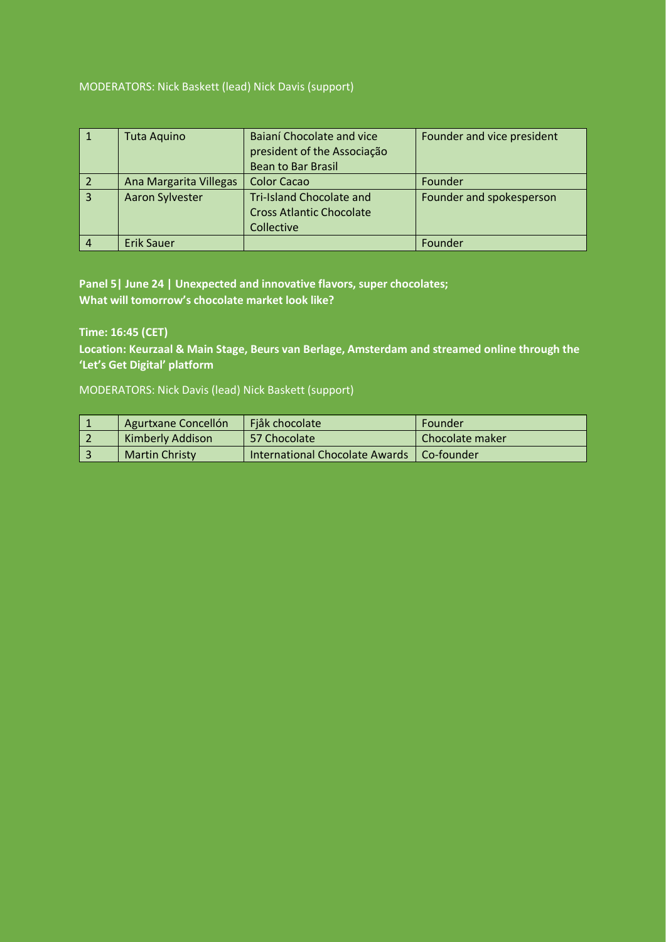## MODERATORS: Nick Baskett (lead) Nick Davis (support)

|                | <b>Tuta Aquino</b>     | Bajaní Chocolate and vice<br>president of the Associação<br><b>Bean to Bar Brasil</b> | Founder and vice president |
|----------------|------------------------|---------------------------------------------------------------------------------------|----------------------------|
|                | Ana Margarita Villegas | <b>Color Cacao</b>                                                                    | Founder                    |
| $\overline{3}$ | <b>Aaron Sylvester</b> | <b>Tri-Island Chocolate and</b><br><b>Cross Atlantic Chocolate</b><br>Collective      | Founder and spokesperson   |
| 4              | <b>Erik Sauer</b>      |                                                                                       | Founder                    |

**Panel 5| June 24 | Unexpected and innovative flavors, super chocolates; What will tomorrow's chocolate market look like?**

**Time: 16:45 (CET)**

**Location: Keurzaal & Main Stage, Beurs van Berlage, Amsterdam and streamed online through the 'Let's Get Digital' platform**

MODERATORS: Nick Davis (lead) Nick Baskett (support)

| Agurtxane Concellón     | Fjåk chocolate                              | Founder         |
|-------------------------|---------------------------------------------|-----------------|
| <b>Kimberly Addison</b> | 57 Chocolate                                | Chocolate maker |
| <b>Martin Christy</b>   | International Chocolate Awards   Co-founder |                 |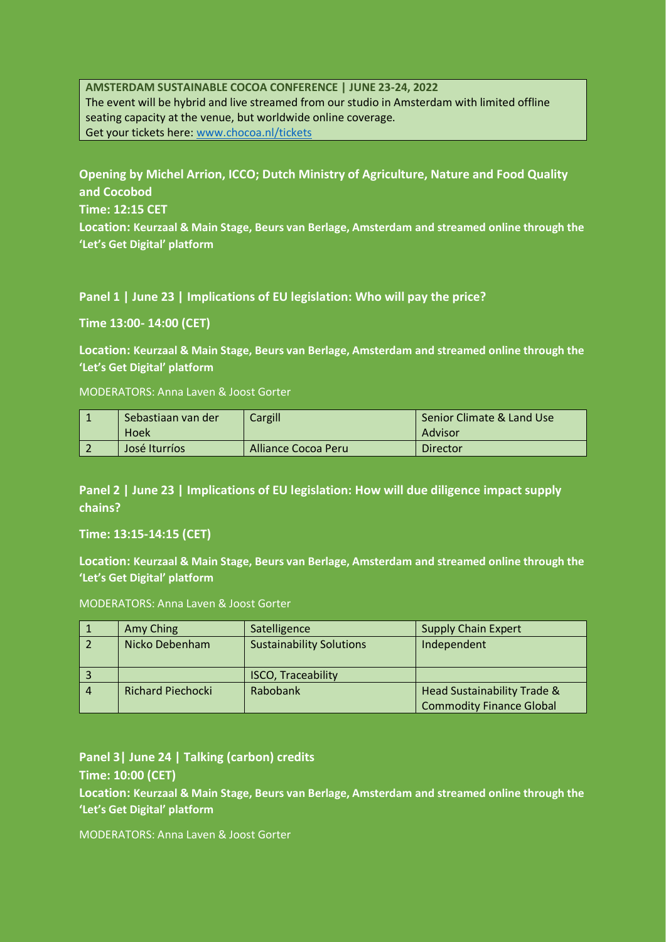**AMSTERDAM SUSTAINABLE COCOA CONFERENCE | JUNE 23-24, 2022** The event will be hybrid and live streamed from our studio in Amsterdam with limited offline seating capacity at the venue, but worldwide online coverage. Get your tickets here: [www.chocoa.nl/tickets](http://www.chocoa.nl/tickets)

**Opening by Michel Arrion, ICCO; Dutch Ministry of Agriculture, Nature and Food Quality and Cocobod Time: 12:15 CET Location: Keurzaal & Main Stage, Beurs van Berlage, Amsterdam and streamed online through the 'Let's Get Digital' platform**

**Panel 1 | June 23 | Implications of EU legislation: Who will pay the price?**

**Time 13:00- 14:00 (CET)**

**Location: Keurzaal & Main Stage, Beurs van Berlage, Amsterdam and streamed online through the 'Let's Get Digital' platform**

MODERATORS: Anna Laven & Joost Gorter

| Sebastiaan van der<br>Hoek | Cargill             | Senior Climate & Land Use<br>Advisor |
|----------------------------|---------------------|--------------------------------------|
| José Iturríos              | Alliance Cocoa Peru | Director                             |

**Panel 2 | June 23 | Implications of EU legislation: How will due diligence impact supply chains?**

**Time: 13:15-14:15 (CET)**

**Location: Keurzaal & Main Stage, Beurs van Berlage, Amsterdam and streamed online through the 'Let's Get Digital' platform**

MODERATORS: Anna Laven & Joost Gorter

|   | Amy Ching                | Satelligence                    | <b>Supply Chain Expert</b>      |
|---|--------------------------|---------------------------------|---------------------------------|
|   | Nicko Debenham           | <b>Sustainability Solutions</b> | Independent                     |
|   |                          | <b>ISCO, Traceability</b>       |                                 |
| 4 | <b>Richard Piechocki</b> | Rabobank                        | Head Sustainability Trade &     |
|   |                          |                                 | <b>Commodity Finance Global</b> |

**Panel 3| June 24 | Talking (carbon) credits Time: 10:00 (CET)**

**Location: Keurzaal & Main Stage, Beurs van Berlage, Amsterdam and streamed online through the 'Let's Get Digital' platform**

MODERATORS: Anna Laven & Joost Gorter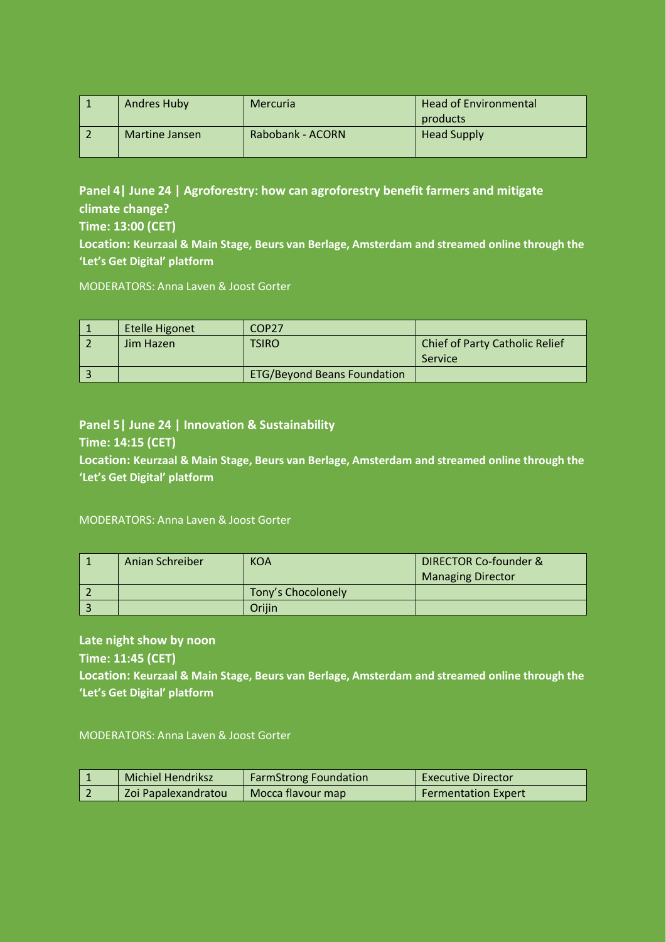| Andres Huby    | <b>Mercuria</b>  | Head of Environmental<br>products |
|----------------|------------------|-----------------------------------|
| Martine Jansen | Rabobank - ACORN | <b>Head Supply</b>                |

**Panel 4| June 24 | Agroforestry: how can agroforestry benefit farmers and mitigate climate change? Time: 13:00 (CET)**

**Location: Keurzaal & Main Stage, Beurs van Berlage, Amsterdam and streamed online through the 'Let's Get Digital' platform**

MODERATORS: Anna Laven & Joost Gorter

| <b>Etelle Higonet</b> | COP27                              |                                                         |
|-----------------------|------------------------------------|---------------------------------------------------------|
| Jim Hazen             | TSIRO                              | <b>Chief of Party Catholic Relief</b><br><b>Service</b> |
|                       | <b>ETG/Beyond Beans Foundation</b> |                                                         |

# **Panel 5| June 24 | Innovation & Sustainability**

### **Time: 14:15 (CET)**

**Location: Keurzaal & Main Stage, Beurs van Berlage, Amsterdam and streamed online through the 'Let's Get Digital' platform**

MODERATORS: Anna Laven & Joost Gorter

| Anian Schreiber | <b>KOA</b>         | <b>DIRECTOR Co-founder &amp;</b> |
|-----------------|--------------------|----------------------------------|
|                 |                    | <b>Managing Director</b>         |
|                 | Tony's Chocolonely |                                  |
|                 | .<br>Driiin        |                                  |

### **Late night show by noon**

**Time: 11:45 (CET)**

**Location: Keurzaal & Main Stage, Beurs van Berlage, Amsterdam and streamed online through the 'Let's Get Digital' platform**

MODERATORS: Anna Laven & Joost Gorter

| Michiel Hendriksz   | <b>FarmStrong Foundation</b> | <b>Executive Director</b>  |
|---------------------|------------------------------|----------------------------|
| Zoi Papalexandratou | Mocca flavour map            | <b>Fermentation Expert</b> |